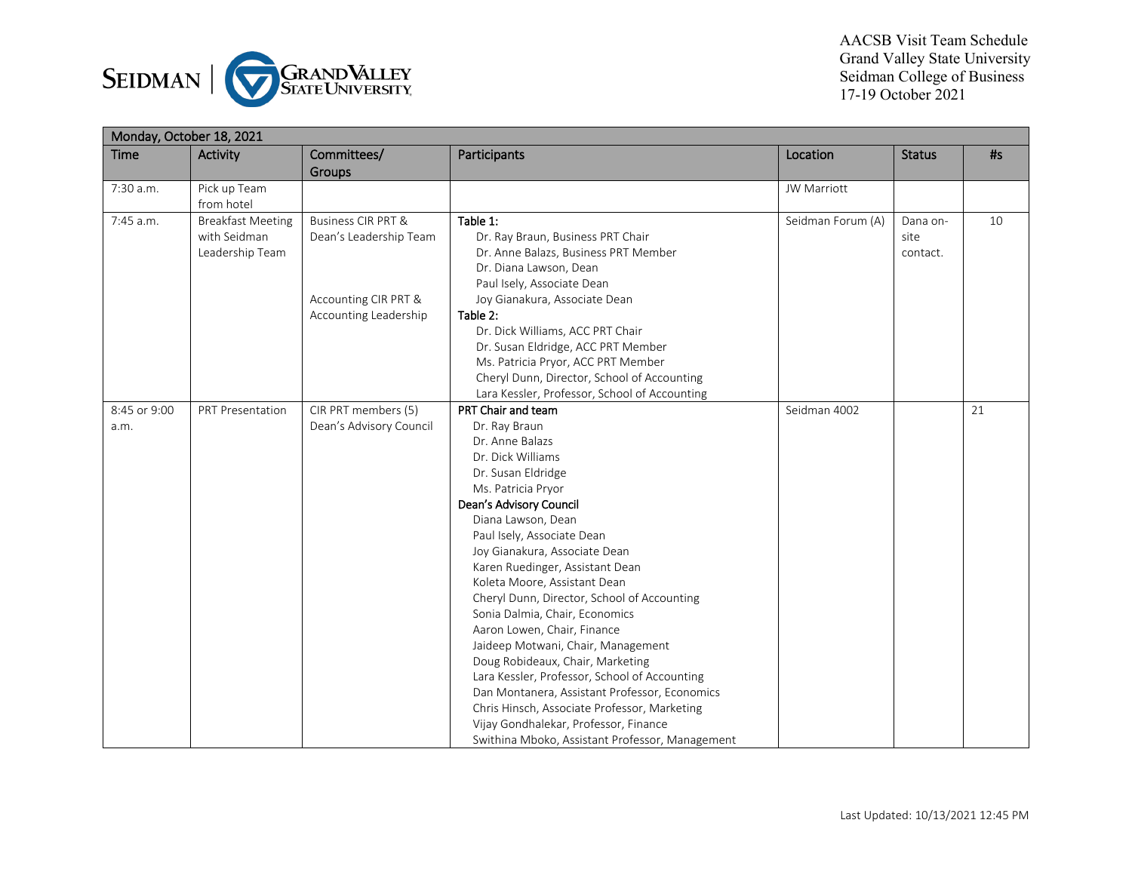

| Monday, October 18, 2021 |                          |                               |                                                 |                    |               |    |  |  |
|--------------------------|--------------------------|-------------------------------|-------------------------------------------------|--------------------|---------------|----|--|--|
| <b>Time</b>              | <b>Activity</b>          | Committees/<br>Groups         | Participants                                    | Location           | <b>Status</b> | #s |  |  |
| 7:30 a.m.                | Pick up Team             |                               |                                                 | <b>JW Marriott</b> |               |    |  |  |
|                          | from hotel               |                               |                                                 |                    |               |    |  |  |
| 7:45 a.m.                | <b>Breakfast Meeting</b> | <b>Business CIR PRT &amp;</b> | Table 1:                                        | Seidman Forum (A)  | Dana on-      | 10 |  |  |
|                          | with Seidman             | Dean's Leadership Team        | Dr. Ray Braun, Business PRT Chair               |                    | site          |    |  |  |
|                          | Leadership Team          |                               | Dr. Anne Balazs, Business PRT Member            |                    | contact.      |    |  |  |
|                          |                          |                               | Dr. Diana Lawson, Dean                          |                    |               |    |  |  |
|                          |                          |                               | Paul Isely, Associate Dean                      |                    |               |    |  |  |
|                          |                          | Accounting CIR PRT &          | Joy Gianakura, Associate Dean                   |                    |               |    |  |  |
|                          |                          | Accounting Leadership         | Table 2:                                        |                    |               |    |  |  |
|                          |                          |                               | Dr. Dick Williams, ACC PRT Chair                |                    |               |    |  |  |
|                          |                          |                               | Dr. Susan Eldridge, ACC PRT Member              |                    |               |    |  |  |
|                          |                          |                               | Ms. Patricia Pryor, ACC PRT Member              |                    |               |    |  |  |
|                          |                          |                               | Cheryl Dunn, Director, School of Accounting     |                    |               |    |  |  |
|                          |                          |                               | Lara Kessler, Professor, School of Accounting   |                    |               |    |  |  |
| 8:45 or 9:00             | <b>PRT Presentation</b>  | CIR PRT members (5)           | PRT Chair and team                              | Seidman 4002       |               | 21 |  |  |
| a.m.                     |                          | Dean's Advisory Council       | Dr. Ray Braun                                   |                    |               |    |  |  |
|                          |                          |                               | Dr. Anne Balazs                                 |                    |               |    |  |  |
|                          |                          |                               | Dr. Dick Williams                               |                    |               |    |  |  |
|                          |                          |                               | Dr. Susan Eldridge                              |                    |               |    |  |  |
|                          |                          |                               | Ms. Patricia Pryor                              |                    |               |    |  |  |
|                          |                          |                               | Dean's Advisory Council                         |                    |               |    |  |  |
|                          |                          |                               | Diana Lawson, Dean                              |                    |               |    |  |  |
|                          |                          |                               | Paul Isely, Associate Dean                      |                    |               |    |  |  |
|                          |                          |                               | Joy Gianakura, Associate Dean                   |                    |               |    |  |  |
|                          |                          |                               | Karen Ruedinger, Assistant Dean                 |                    |               |    |  |  |
|                          |                          |                               | Koleta Moore, Assistant Dean                    |                    |               |    |  |  |
|                          |                          |                               | Cheryl Dunn, Director, School of Accounting     |                    |               |    |  |  |
|                          |                          |                               | Sonia Dalmia, Chair, Economics                  |                    |               |    |  |  |
|                          |                          |                               | Aaron Lowen, Chair, Finance                     |                    |               |    |  |  |
|                          |                          |                               | Jaideep Motwani, Chair, Management              |                    |               |    |  |  |
|                          |                          |                               | Doug Robideaux, Chair, Marketing                |                    |               |    |  |  |
|                          |                          |                               | Lara Kessler, Professor, School of Accounting   |                    |               |    |  |  |
|                          |                          |                               | Dan Montanera, Assistant Professor, Economics   |                    |               |    |  |  |
|                          |                          |                               | Chris Hinsch, Associate Professor, Marketing    |                    |               |    |  |  |
|                          |                          |                               | Vijay Gondhalekar, Professor, Finance           |                    |               |    |  |  |
|                          |                          |                               | Swithina Mboko, Assistant Professor, Management |                    |               |    |  |  |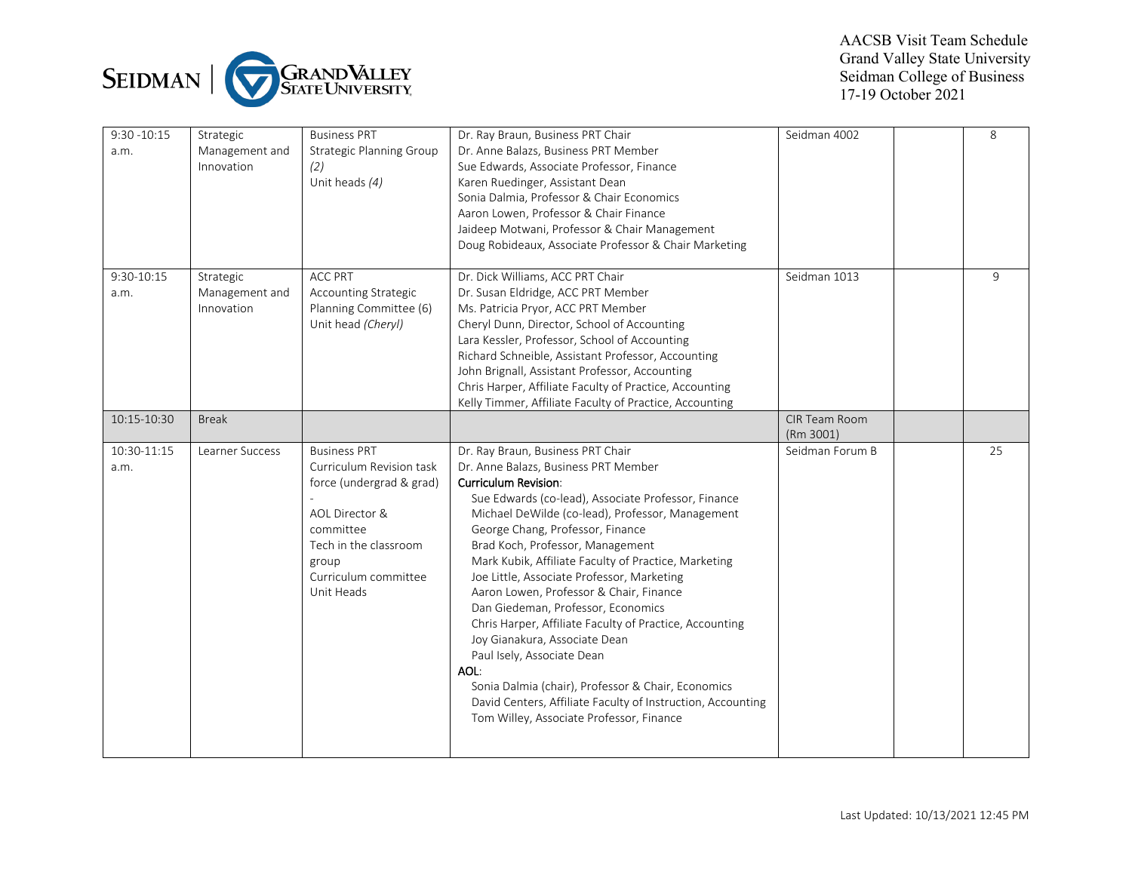

| $9:30 - 10:15$<br>a.m. | Strategic<br>Management and<br>Innovation | <b>Business PRT</b><br><b>Strategic Planning Group</b><br>(2)<br>Unit heads (4)                                                                                                    | Dr. Ray Braun, Business PRT Chair<br>Dr. Anne Balazs, Business PRT Member<br>Sue Edwards, Associate Professor, Finance<br>Karen Ruedinger, Assistant Dean<br>Sonia Dalmia, Professor & Chair Economics<br>Aaron Lowen, Professor & Chair Finance<br>Jaideep Motwani, Professor & Chair Management<br>Doug Robideaux, Associate Professor & Chair Marketing                                                                                                                                                                                                                                                                                                                                                                                                                            | Seidman 4002               | 8  |
|------------------------|-------------------------------------------|------------------------------------------------------------------------------------------------------------------------------------------------------------------------------------|---------------------------------------------------------------------------------------------------------------------------------------------------------------------------------------------------------------------------------------------------------------------------------------------------------------------------------------------------------------------------------------------------------------------------------------------------------------------------------------------------------------------------------------------------------------------------------------------------------------------------------------------------------------------------------------------------------------------------------------------------------------------------------------|----------------------------|----|
| 9:30-10:15<br>a.m.     | Strategic<br>Management and<br>Innovation | <b>ACC PRT</b><br>Accounting Strategic<br>Planning Committee (6)<br>Unit head (Cheryl)                                                                                             | Dr. Dick Williams, ACC PRT Chair<br>Dr. Susan Eldridge, ACC PRT Member<br>Ms. Patricia Pryor, ACC PRT Member<br>Cheryl Dunn, Director, School of Accounting<br>Lara Kessler, Professor, School of Accounting<br>Richard Schneible, Assistant Professor, Accounting<br>John Brignall, Assistant Professor, Accounting<br>Chris Harper, Affiliate Faculty of Practice, Accounting<br>Kelly Timmer, Affiliate Faculty of Practice, Accounting                                                                                                                                                                                                                                                                                                                                            | Seidman 1013               | 9  |
| 10:15-10:30            | <b>Break</b>                              |                                                                                                                                                                                    |                                                                                                                                                                                                                                                                                                                                                                                                                                                                                                                                                                                                                                                                                                                                                                                       | CIR Team Room<br>(Rm 3001) |    |
| 10:30-11:15<br>a.m.    | Learner Success                           | <b>Business PRT</b><br>Curriculum Revision task<br>force (undergrad & grad)<br>AOL Director &<br>committee<br>Tech in the classroom<br>group<br>Curriculum committee<br>Unit Heads | Dr. Ray Braun, Business PRT Chair<br>Dr. Anne Balazs, Business PRT Member<br><b>Curriculum Revision:</b><br>Sue Edwards (co-lead), Associate Professor, Finance<br>Michael DeWilde (co-lead), Professor, Management<br>George Chang, Professor, Finance<br>Brad Koch, Professor, Management<br>Mark Kubik, Affiliate Faculty of Practice, Marketing<br>Joe Little, Associate Professor, Marketing<br>Aaron Lowen, Professor & Chair, Finance<br>Dan Giedeman, Professor, Economics<br>Chris Harper, Affiliate Faculty of Practice, Accounting<br>Joy Gianakura, Associate Dean<br>Paul Isely, Associate Dean<br>AOL:<br>Sonia Dalmia (chair), Professor & Chair, Economics<br>David Centers, Affiliate Faculty of Instruction, Accounting<br>Tom Willey, Associate Professor, Finance | Seidman Forum B            | 25 |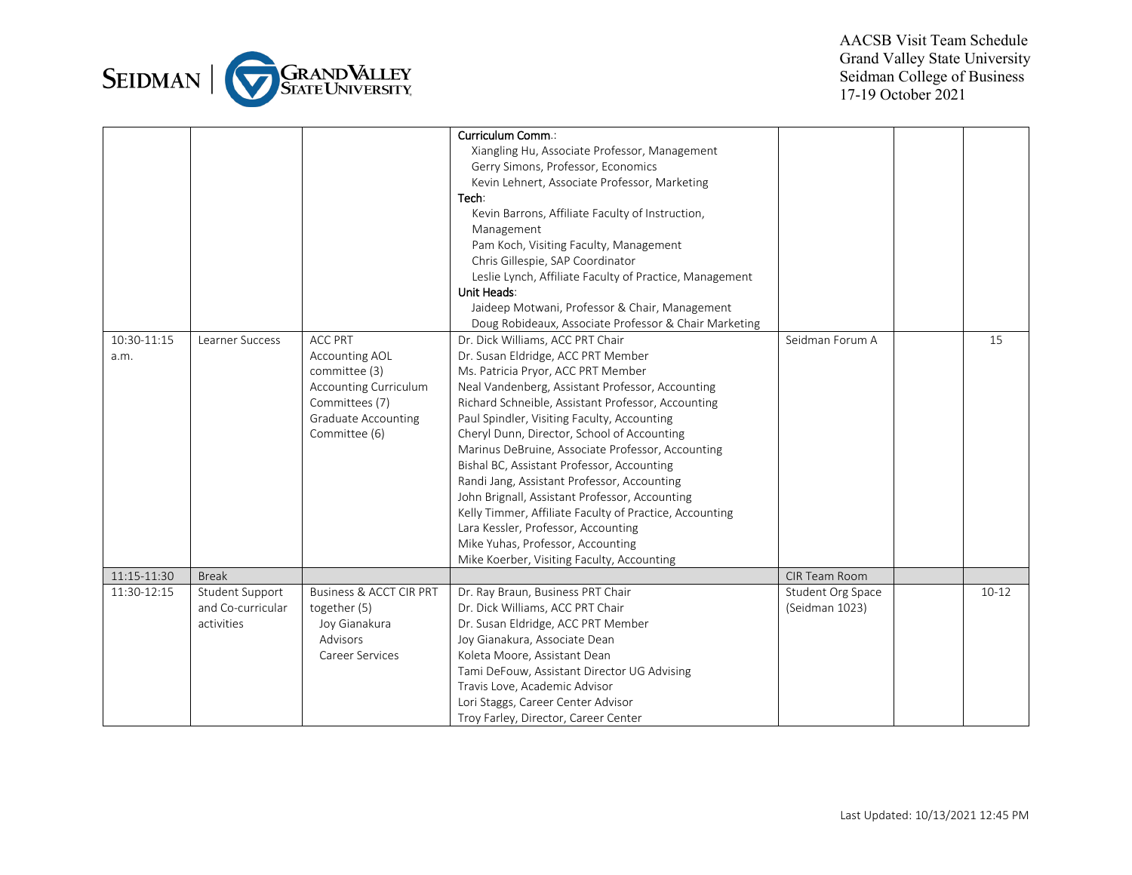

|                     |                                                    |                                                                                                                                      | Curriculum Comm.:<br>Xiangling Hu, Associate Professor, Management<br>Gerry Simons, Professor, Economics<br>Kevin Lehnert, Associate Professor, Marketing<br>Tech:<br>Kevin Barrons, Affiliate Faculty of Instruction,<br>Management<br>Pam Koch, Visiting Faculty, Management<br>Chris Gillespie, SAP Coordinator<br>Leslie Lynch, Affiliate Faculty of Practice, Management<br>Unit Heads:<br>Jaideep Motwani, Professor & Chair, Management<br>Doug Robideaux, Associate Professor & Chair Marketing                                                                                                                                                                                                       |                                     |         |
|---------------------|----------------------------------------------------|--------------------------------------------------------------------------------------------------------------------------------------|---------------------------------------------------------------------------------------------------------------------------------------------------------------------------------------------------------------------------------------------------------------------------------------------------------------------------------------------------------------------------------------------------------------------------------------------------------------------------------------------------------------------------------------------------------------------------------------------------------------------------------------------------------------------------------------------------------------|-------------------------------------|---------|
| 10:30-11:15<br>a.m. | Learner Success                                    | <b>ACC PRT</b><br>Accounting AOL<br>committee (3)<br>Accounting Curriculum<br>Committees (7)<br>Graduate Accounting<br>Committee (6) | Dr. Dick Williams, ACC PRT Chair<br>Dr. Susan Eldridge, ACC PRT Member<br>Ms. Patricia Pryor, ACC PRT Member<br>Neal Vandenberg, Assistant Professor, Accounting<br>Richard Schneible, Assistant Professor, Accounting<br>Paul Spindler, Visiting Faculty, Accounting<br>Cheryl Dunn, Director, School of Accounting<br>Marinus DeBruine, Associate Professor, Accounting<br>Bishal BC, Assistant Professor, Accounting<br>Randi Jang, Assistant Professor, Accounting<br>John Brignall, Assistant Professor, Accounting<br>Kelly Timmer, Affiliate Faculty of Practice, Accounting<br>Lara Kessler, Professor, Accounting<br>Mike Yuhas, Professor, Accounting<br>Mike Koerber, Visiting Faculty, Accounting | Seidman Forum A                     | 15      |
| 11:15-11:30         | <b>Break</b>                                       |                                                                                                                                      |                                                                                                                                                                                                                                                                                                                                                                                                                                                                                                                                                                                                                                                                                                               | CIR Team Room                       |         |
| 11:30-12:15         | Student Support<br>and Co-curricular<br>activities | <b>Business &amp; ACCT CIR PRT</b><br>together (5)<br>Joy Gianakura<br>Advisors<br>Career Services                                   | Dr. Ray Braun, Business PRT Chair<br>Dr. Dick Williams, ACC PRT Chair<br>Dr. Susan Eldridge, ACC PRT Member<br>Joy Gianakura, Associate Dean<br>Koleta Moore, Assistant Dean<br>Tami DeFouw, Assistant Director UG Advising<br>Travis Love, Academic Advisor<br>Lori Staggs, Career Center Advisor<br>Troy Farley, Director, Career Center                                                                                                                                                                                                                                                                                                                                                                    | Student Org Space<br>(Seidman 1023) | $10-12$ |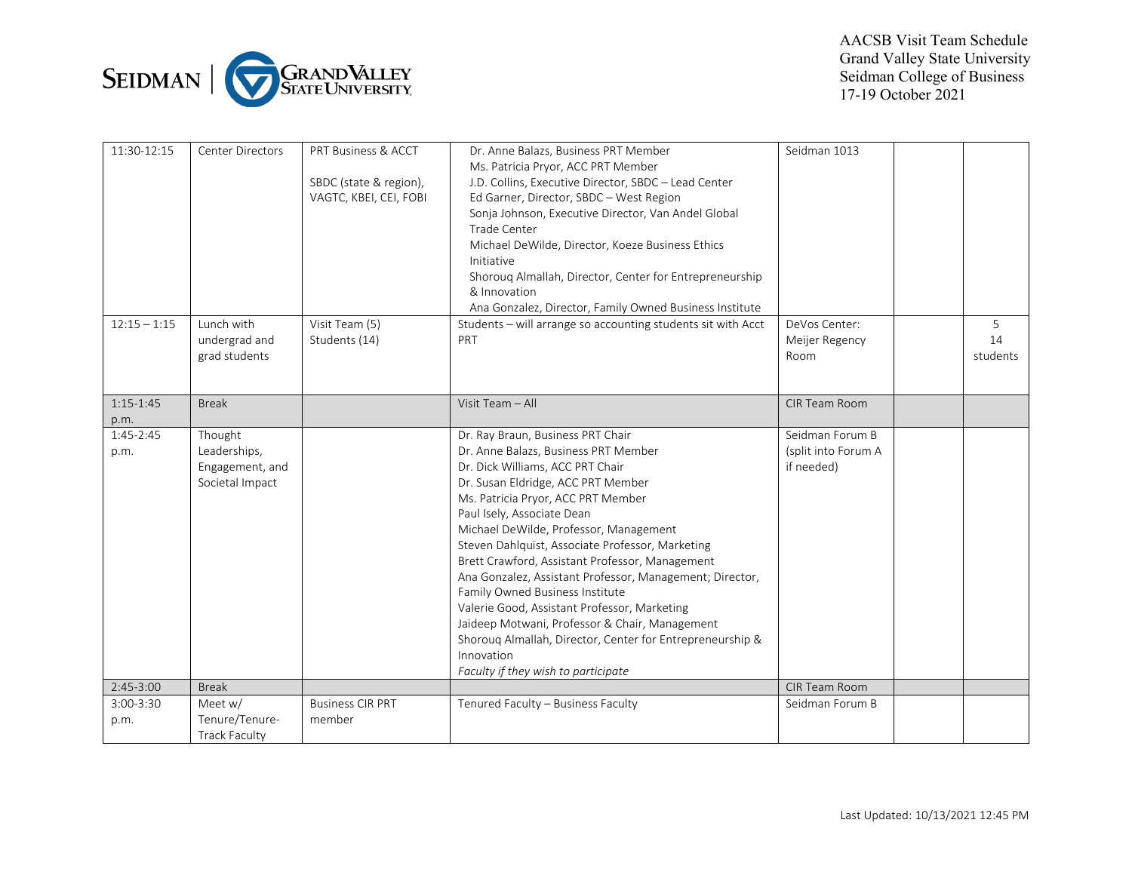

| 11:30-12:15         | <b>Center Directors</b>                                       | PRT Business & ACCT<br>SBDC (state & region),<br>VAGTC, KBEI, CEI, FOBI | Dr. Anne Balazs, Business PRT Member<br>Ms. Patricia Pryor, ACC PRT Member<br>J.D. Collins, Executive Director, SBDC - Lead Center<br>Ed Garner, Director, SBDC - West Region<br>Sonja Johnson, Executive Director, Van Andel Global<br><b>Trade Center</b><br>Michael DeWilde, Director, Koeze Business Ethics<br>Initiative<br>Shorouq Almallah, Director, Center for Entrepreneurship<br>& Innovation<br>Ana Gonzalez, Director, Family Owned Business Institute                                                                                                                                                                                                                         | Seidman 1013                                         |                     |
|---------------------|---------------------------------------------------------------|-------------------------------------------------------------------------|---------------------------------------------------------------------------------------------------------------------------------------------------------------------------------------------------------------------------------------------------------------------------------------------------------------------------------------------------------------------------------------------------------------------------------------------------------------------------------------------------------------------------------------------------------------------------------------------------------------------------------------------------------------------------------------------|------------------------------------------------------|---------------------|
| $12:15 - 1:15$      | Lunch with<br>undergrad and<br>grad students                  | Visit Team (5)<br>Students (14)                                         | Students - will arrange so accounting students sit with Acct<br>PRT                                                                                                                                                                                                                                                                                                                                                                                                                                                                                                                                                                                                                         | DeVos Center:<br>Meijer Regency<br>Room              | 5<br>14<br>students |
| $1:15-1:45$<br>p.m. | <b>Break</b>                                                  |                                                                         | Visit Team - All                                                                                                                                                                                                                                                                                                                                                                                                                                                                                                                                                                                                                                                                            | CIR Team Room                                        |                     |
| $1:45-2:45$<br>p.m. | Thought<br>Leaderships,<br>Engagement, and<br>Societal Impact |                                                                         | Dr. Ray Braun, Business PRT Chair<br>Dr. Anne Balazs, Business PRT Member<br>Dr. Dick Williams, ACC PRT Chair<br>Dr. Susan Eldridge, ACC PRT Member<br>Ms. Patricia Pryor, ACC PRT Member<br>Paul Isely, Associate Dean<br>Michael DeWilde, Professor, Management<br>Steven Dahlquist, Associate Professor, Marketing<br>Brett Crawford, Assistant Professor, Management<br>Ana Gonzalez, Assistant Professor, Management; Director,<br>Family Owned Business Institute<br>Valerie Good, Assistant Professor, Marketing<br>Jaideep Motwani, Professor & Chair, Management<br>Shorouq Almallah, Director, Center for Entrepreneurship &<br>Innovation<br>Faculty if they wish to participate | Seidman Forum B<br>(split into Forum A<br>if needed) |                     |
| $2:45-3:00$         | <b>Break</b>                                                  |                                                                         |                                                                                                                                                                                                                                                                                                                                                                                                                                                                                                                                                                                                                                                                                             | CIR Team Room                                        |                     |
| 3:00-3:30<br>p.m.   | Meet w/<br>Tenure/Tenure-<br><b>Track Faculty</b>             | <b>Business CIR PRT</b><br>member                                       | Tenured Faculty - Business Faculty                                                                                                                                                                                                                                                                                                                                                                                                                                                                                                                                                                                                                                                          | Seidman Forum B                                      |                     |